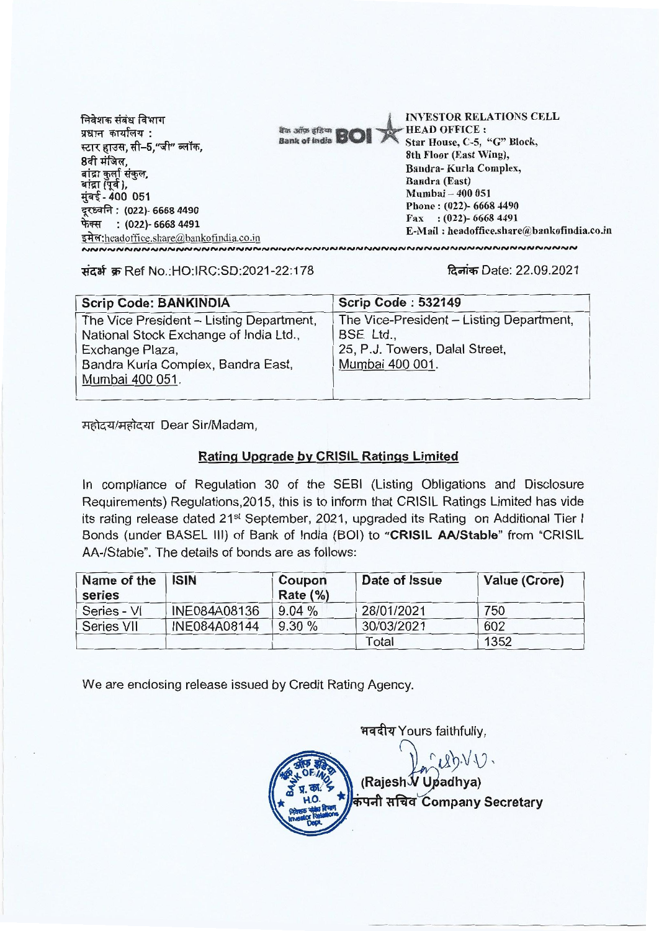निवेशक संबंध विभाग **प्रधान कार्यालय:** स्टार हाउस, सी-5,"जी" ब्लॉक. 8वी मंजिल, बांद्रा कुर्ला संकुल, *(14 ),*  **-400 051 <sup>17154</sup>-P.: (022)- 6668 4490 : (022)- 6668 4491** 



**INVESTOR RELATIONS CELL HEAD OFFICE : Star House, C-5, "G" Block, 8th Floor (East Wing), Bandra- Kurla Complex, Bandra (East) Mumbai — 400 051 Phone : (022)- 6668 4490 Fax : (022)- 6668 4491 E-Mail : headoffice.share@bankofindia.co.in** 

Ttff:headoffice.share0,;bankotindia.coj n

**14-431-** Ref No.:HO:IRC:SD:2021-22:178 Roict, Date: 22.09.2021

| <b>Scrip Code: BANKINDIA</b>             | <b>Scrip Code: 532149</b>                |
|------------------------------------------|------------------------------------------|
| The Vice President - Listing Department, | The Vice-President - Listing Department, |
| National Stock Exchange of India Ltd.,   | BSE Ltd.,                                |
| Exchange Plaza,                          | 25, P.J. Towers, Dalal Street,           |
| Bandra Kurla Complex, Bandra East,       | Mumbai 400 001.                          |
| Mumbai 400 051.                          |                                          |
|                                          |                                          |

महोदय/महोदया Dear Sir/Madam,

## **Rating Upgrade by CRISIL Ratings Limited**

In compliance of Regulation 30 of the SEBI (Listing Obligations and Disclosure Requirements) Regulations,2015, this is to inform that CRISIL Ratings Limited has vide its rating release dated 21<sup>st</sup> September, 2021, upgraded its Rating on Additional Tier I Bonds (under BASEL Ill) of Bank of India (B01) to **"CRISIL AA/Stable"** from "CRISIL AA-/Stable". The details of bonds are as follows:

| Name of the<br>series | <b>ISIN</b>  | Coupon<br><b>Rate (%)</b> | Date of Issue | Value (Crore) |
|-----------------------|--------------|---------------------------|---------------|---------------|
| Series - VI           | INE084A08136 | 9.04%                     | 28/01/2021    | 750           |
| Series VII            | INE084A08144 | 9.30%                     | 30/03/2021    | 602           |
|                       |              |                           | Total         | 1352          |

We are enclosing release issued by Credit Rating Agency.

भवदीय Yours faithfully,

 $RbV12$ . **(Rajesh** V Upadhya) **ch4 .tai Company Secretary**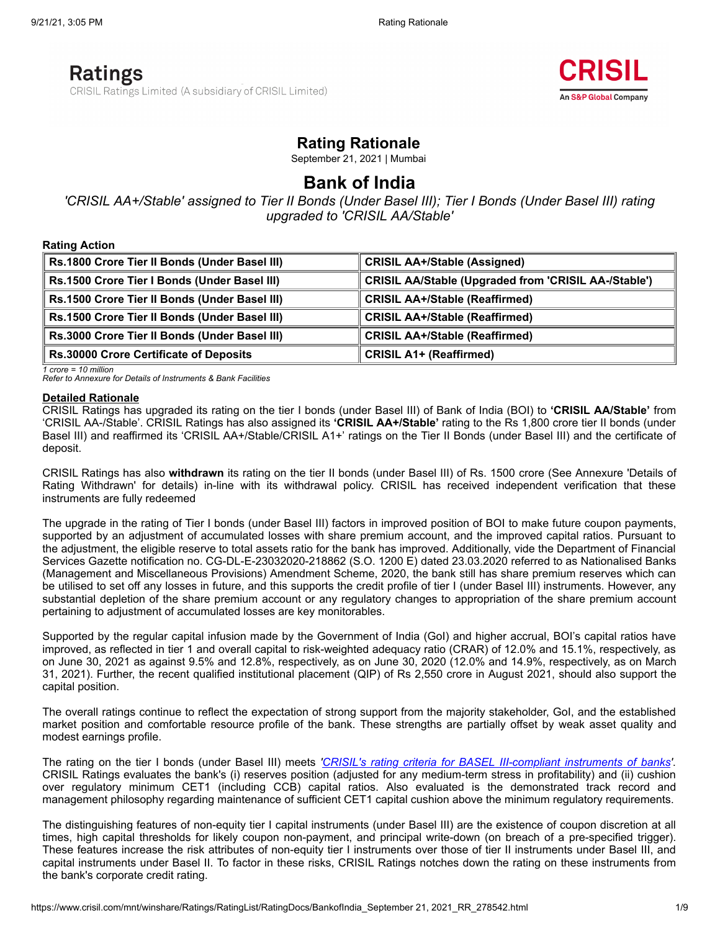# **Ratings CRISIL**  CRISIL Ratings Limited (A subsidiary of CRISIL Limited) **An S&P Global Company**

# **Rating Rationale**

September 21, 2021 | Mumbai

# **Bank of India**

*'CRISIL AA+/Stable' assigned to Tier II Bonds (Under Basel III); Tier I Bonds (Under Basel III) rating upgraded to 'CRISIL AA/Stable'*

**Rating Action**

| Rs.1800 Crore Tier II Bonds (Under Basel III) | <b>CRISIL AA+/Stable (Assigned)</b>                         |
|-----------------------------------------------|-------------------------------------------------------------|
| Rs.1500 Crore Tier I Bonds (Under Basel III)  | <b>CRISIL AA/Stable (Upgraded from 'CRISIL AA-/Stable')</b> |
| Rs.1500 Crore Tier II Bonds (Under Basel III) | <b>CRISIL AA+/Stable (Reaffirmed)</b>                       |
| Rs.1500 Crore Tier II Bonds (Under Basel III) | <b>CRISIL AA+/Stable (Reaffirmed)</b>                       |
| Rs.3000 Crore Tier II Bonds (Under Basel III) | <b>CRISIL AA+/Stable (Reaffirmed)</b>                       |
| <b>Rs.30000 Crore Certificate of Deposits</b> | <b>CRISIL A1+ (Reaffirmed)</b>                              |

*1 crore = 10 million*

*Refer to Annexure for Details of Instruments & Bank Facilities*

#### **Detailed Rationale**

CRISIL Ratings has upgraded its rating on the tier I bonds (under Basel III) of Bank of India (BOI) to **'CRISIL AA/Stable'** from 'CRISIL AA-/Stable'. CRISIL Ratings has also assigned its **'CRISIL AA+/Stable'** rating to the Rs 1,800 crore tier II bonds (under Basel III) and reaffirmed its 'CRISIL AA+/Stable/CRISIL A1+' ratings on the Tier II Bonds (under Basel III) and the certificate of deposit.

CRISIL Ratings has also **withdrawn** its rating on the tier II bonds (under Basel III) of Rs. 1500 crore (See Annexure 'Details of Rating Withdrawn' for details) in-line with its withdrawal policy. CRISIL has received independent verification that these instruments are fully redeemed

The upgrade in the rating of Tier I bonds (under Basel III) factors in improved position of BOI to make future coupon payments, supported by an adjustment of accumulated losses with share premium account, and the improved capital ratios. Pursuant to the adjustment, the eligible reserve to total assets ratio for the bank has improved. Additionally, vide the Department of Financial Services Gazette notification no. CG-DL-E-23032020-218862 (S.O. 1200 E) dated 23.03.2020 referred to as Nationalised Banks (Management and Miscellaneous Provisions) Amendment Scheme, 2020, the bank still has share premium reserves which can be utilised to set off any losses in future, and this supports the credit profile of tier I (under Basel III) instruments. However, any substantial depletion of the share premium account or any regulatory changes to appropriation of the share premium account pertaining to adjustment of accumulated losses are key monitorables.

Supported by the regular capital infusion made by the Government of India (GoI) and higher accrual, BOI's capital ratios have improved, as reflected in tier 1 and overall capital to risk-weighted adequacy ratio (CRAR) of 12.0% and 15.1%, respectively, as on June 30, 2021 as against 9.5% and 12.8%, respectively, as on June 30, 2020 (12.0% and 14.9%, respectively, as on March 31, 2021). Further, the recent qualified institutional placement (QIP) of Rs 2,550 crore in August 2021, should also support the capital position.

The overall ratings continue to reflect the expectation of strong support from the majority stakeholder, GoI, and the established market position and comfortable resource profile of the bank. These strengths are partially offset by weak asset quality and modest earnings profile.

The rating on the tier I bonds (under Basel III) meets *'CRISIL's rating criteria for BASEL [III-compliant](https://www.crisil.com/mnt/winshare/Ratings/SectorMethodology/MethodologyDocs/criteria/Rating%20criteria%20for%20Basel%20III%20-%20compliant%20non-equity%20capital%20instruments.pdf) instruments of banks'*. CRISIL Ratings evaluates the bank's (i) reserves position (adjusted for any medium-term stress in profitability) and (ii) cushion over regulatory minimum CET1 (including CCB) capital ratios. Also evaluated is the demonstrated track record and management philosophy regarding maintenance of sufficient CET1 capital cushion above the minimum regulatory requirements.

The distinguishing features of non-equity tier I capital instruments (under Basel III) are the existence of coupon discretion at all times, high capital thresholds for likely coupon non-payment, and principal write-down (on breach of a pre-specified trigger). These features increase the risk attributes of non-equity tier I instruments over those of tier II instruments under Basel III, and capital instruments under Basel II. To factor in these risks, CRISIL Ratings notches down the rating on these instruments from the bank's corporate credit rating.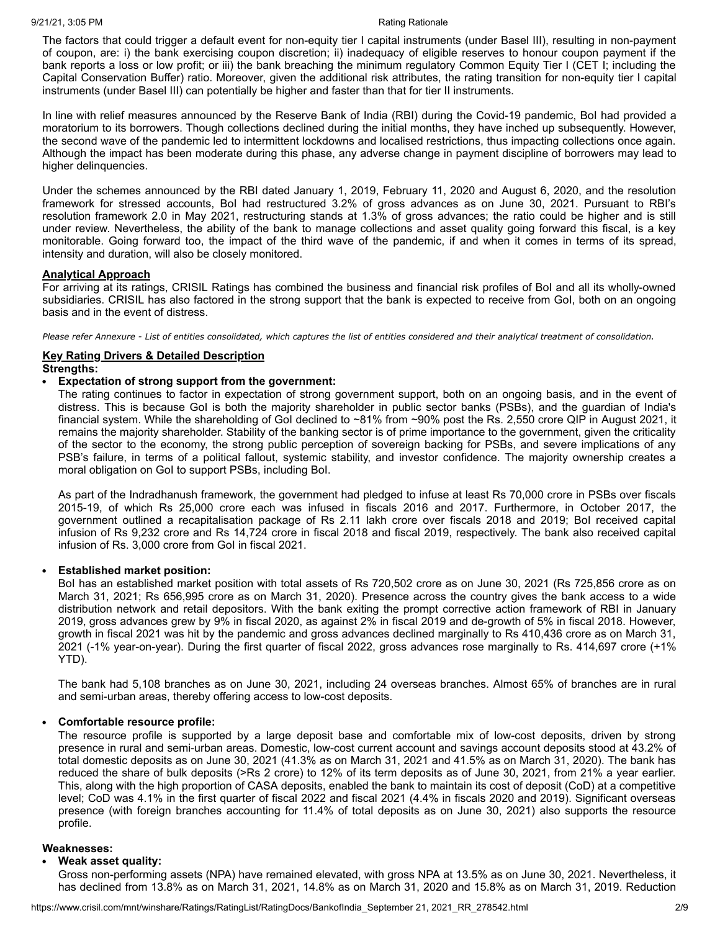The factors that could trigger a default event for non-equity tier I capital instruments (under Basel III), resulting in non-payment of coupon, are: i) the bank exercising coupon discretion; ii) inadequacy of eligible reserves to honour coupon payment if the bank reports a loss or low profit; or iii) the bank breaching the minimum regulatory Common Equity Tier I (CET I; including the Capital Conservation Buffer) ratio. Moreover, given the additional risk attributes, the rating transition for non-equity tier I capital instruments (under Basel III) can potentially be higher and faster than that for tier II instruments.

In line with relief measures announced by the Reserve Bank of India (RBI) during the Covid-19 pandemic, BoI had provided a moratorium to its borrowers. Though collections declined during the initial months, they have inched up subsequently. However, the second wave of the pandemic led to intermittent lockdowns and localised restrictions, thus impacting collections once again. Although the impact has been moderate during this phase, any adverse change in payment discipline of borrowers may lead to higher delinquencies.

Under the schemes announced by the RBI dated January 1, 2019, February 11, 2020 and August 6, 2020, and the resolution framework for stressed accounts, BoI had restructured 3.2% of gross advances as on June 30, 2021. Pursuant to RBI's resolution framework 2.0 in May 2021, restructuring stands at 1.3% of gross advances; the ratio could be higher and is still under review. Nevertheless, the ability of the bank to manage collections and asset quality going forward this fiscal, is a key monitorable. Going forward too, the impact of the third wave of the pandemic, if and when it comes in terms of its spread, intensity and duration, will also be closely monitored.

#### **Analytical Approach**

For arriving at its ratings, CRISIL Ratings has combined the business and financial risk profiles of BoI and all its wholly-owned subsidiaries. CRISIL has also factored in the strong support that the bank is expected to receive from GoI, both on an ongoing basis and in the event of distress.

*Please refer Annexure - List of entities consolidated, which captures the list of entities considered and their analytical treatment of consolidation.*

## **Key Rating Drivers & Detailed Description**

# • **Strengths:**

### **Expectation of strong support from the government:**

The rating continues to factor in expectation of strong government support, both on an ongoing basis, and in the event of distress. This is because GoI is both the majority shareholder in public sector banks (PSBs), and the guardian of India's financial system. While the shareholding of GoI declined to ~81% from ~90% post the Rs. 2,550 crore QIP in August 2021, it remains the majority shareholder. Stability of the banking sector is of prime importance to the government, given the criticality of the sector to the economy, the strong public perception of sovereign backing for PSBs, and severe implications of any PSB's failure, in terms of a political fallout, systemic stability, and investor confidence. The majority ownership creates a moral obligation on GoI to support PSBs, including BoI.

As part of the Indradhanush framework, the government had pledged to infuse at least Rs 70,000 crore in PSBs over fiscals 2015-19, of which Rs 25,000 crore each was infused in fiscals 2016 and 2017. Furthermore, in October 2017, the government outlined a recapitalisation package of Rs 2.11 lakh crore over fiscals 2018 and 2019; BoI received capital infusion of Rs 9,232 crore and Rs 14,724 crore in fiscal 2018 and fiscal 2019, respectively. The bank also received capital infusion of Rs. 3,000 crore from GoI in fiscal 2021.

#### • **Established market position:**

BoI has an established market position with total assets of Rs 720,502 crore as on June 30, 2021 (Rs 725,856 crore as on March 31, 2021; Rs 656,995 crore as on March 31, 2020). Presence across the country gives the bank access to a wide distribution network and retail depositors. With the bank exiting the prompt corrective action framework of RBI in January 2019, gross advances grew by 9% in fiscal 2020, as against 2% in fiscal 2019 and de-growth of 5% in fiscal 2018. However, growth in fiscal 2021 was hit by the pandemic and gross advances declined marginally to Rs 410,436 crore as on March 31, 2021 (-1% year-on-year). During the first quarter of fiscal 2022, gross advances rose marginally to Rs. 414,697 crore (+1% YTD).

The bank had 5,108 branches as on June 30, 2021, including 24 overseas branches. Almost 65% of branches are in rural and semi-urban areas, thereby offering access to low-cost deposits.

#### • **Comfortable resource profile:**

The resource profile is supported by a large deposit base and comfortable mix of low-cost deposits, driven by strong presence in rural and semi-urban areas. Domestic, low-cost current account and savings account deposits stood at 43.2% of total domestic deposits as on June 30, 2021 (41.3% as on March 31, 2021 and 41.5% as on March 31, 2020). The bank has reduced the share of bulk deposits (>Rs 2 crore) to 12% of its term deposits as of June 30, 2021, from 21% a year earlier. This, along with the high proportion of CASA deposits, enabled the bank to maintain its cost of deposit (CoD) at a competitive level; CoD was 4.1% in the first quarter of fiscal 2022 and fiscal 2021 (4.4% in fiscals 2020 and 2019). Significant overseas presence (with foreign branches accounting for 11.4% of total deposits as on June 30, 2021) also supports the resource profile.

# • **Weaknesses:**

#### **Weak asset quality:**

Gross non-performing assets (NPA) have remained elevated, with gross NPA at 13.5% as on June 30, 2021. Nevertheless, it has declined from 13.8% as on March 31, 2021, 14.8% as on March 31, 2020 and 15.8% as on March 31, 2019. Reduction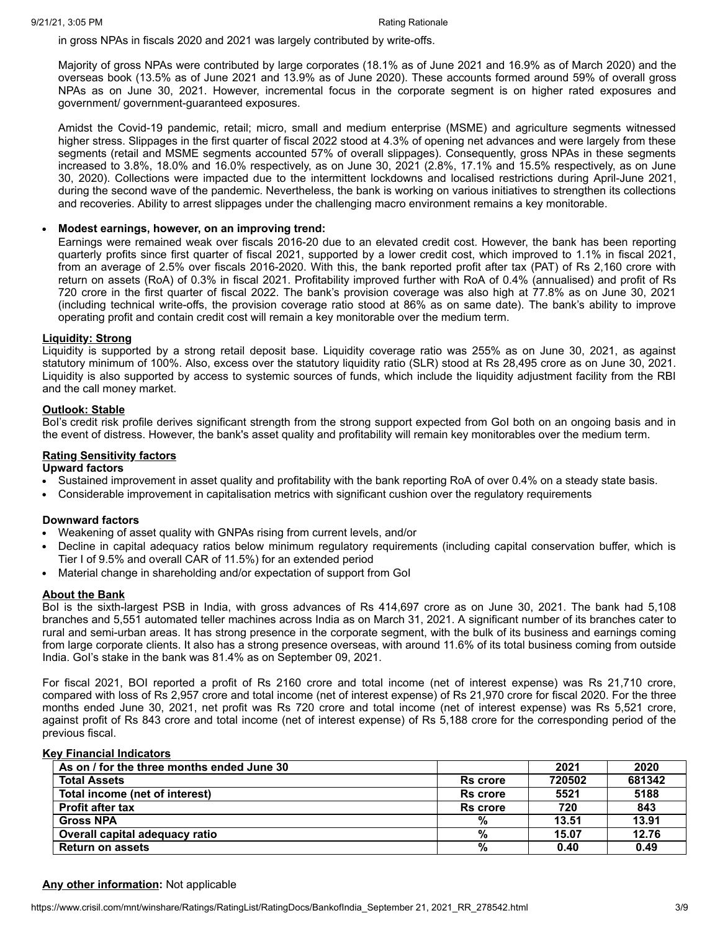in gross NPAs in fiscals 2020 and 2021 was largely contributed by write-offs.

Majority of gross NPAs were contributed by large corporates (18.1% as of June 2021 and 16.9% as of March 2020) and the overseas book (13.5% as of June 2021 and 13.9% as of June 2020). These accounts formed around 59% of overall gross NPAs as on June 30, 2021. However, incremental focus in the corporate segment is on higher rated exposures and government/ government-guaranteed exposures.

Amidst the Covid-19 pandemic, retail; micro, small and medium enterprise (MSME) and agriculture segments witnessed higher stress. Slippages in the first quarter of fiscal 2022 stood at 4.3% of opening net advances and were largely from these segments (retail and MSME segments accounted 57% of overall slippages). Consequently, gross NPAs in these segments increased to 3.8%, 18.0% and 16.0% respectively, as on June 30, 2021 (2.8%, 17.1% and 15.5% respectively, as on June 30, 2020). Collections were impacted due to the intermittent lockdowns and localised restrictions during April-June 2021, during the second wave of the pandemic. Nevertheless, the bank is working on various initiatives to strengthen its collections and recoveries. Ability to arrest slippages under the challenging macro environment remains a key monitorable.

#### • **Modest earnings, however, on an improving trend:**

Earnings were remained weak over fiscals 2016-20 due to an elevated credit cost. However, the bank has been reporting quarterly profits since first quarter of fiscal 2021, supported by a lower credit cost, which improved to 1.1% in fiscal 2021, from an average of 2.5% over fiscals 2016-2020. With this, the bank reported profit after tax (PAT) of Rs 2,160 crore with return on assets (RoA) of 0.3% in fiscal 2021. Profitability improved further with RoA of 0.4% (annualised) and profit of Rs 720 crore in the first quarter of fiscal 2022. The bank's provision coverage was also high at 77.8% as on June 30, 2021 (including technical write-offs, the provision coverage ratio stood at 86% as on same date). The bank's ability to improve operating profit and contain credit cost will remain a key monitorable over the medium term.

#### **Liquidity: Strong**

Liquidity is supported by a strong retail deposit base. Liquidity coverage ratio was 255% as on June 30, 2021, as against statutory minimum of 100%. Also, excess over the statutory liquidity ratio (SLR) stood at Rs 28,495 crore as on June 30, 2021. Liquidity is also supported by access to systemic sources of funds, which include the liquidity adjustment facility from the RBI and the call money market.

#### **Outlook: Stable**

BoI's credit risk profile derives significant strength from the strong support expected from GoI both on an ongoing basis and in the event of distress. However, the bank's asset quality and profitability will remain key monitorables over the medium term.

## **Rating Sensitivity factors**

#### **Upward factors**

- Sustained improvement in asset quality and profitability with the bank reporting RoA of over 0.4% on a steady state basis.
- Considerable improvement in capitalisation metrics with significant cushion over the regulatory requirements

## **Downward factors**

- Weakening of asset quality with GNPAs rising from current levels, and/or
- Decline in capital adequacy ratios below minimum regulatory requirements (including capital conservation buffer, which is Tier I of 9.5% and overall CAR of 11.5%) for an extended period
- Material change in shareholding and/or expectation of support from GoI

## **About the Bank**

BoI is the sixth-largest PSB in India, with gross advances of Rs 414,697 crore as on June 30, 2021. The bank had 5,108 branches and 5,551 automated teller machines across India as on March 31, 2021. A significant number of its branches cater to rural and semi-urban areas. It has strong presence in the corporate segment, with the bulk of its business and earnings coming from large corporate clients. It also has a strong presence overseas, with around 11.6% of its total business coming from outside India. GoI's stake in the bank was 81.4% as on September 09, 2021.

For fiscal 2021, BOI reported a profit of Rs 2160 crore and total income (net of interest expense) was Rs 21,710 crore, compared with loss of Rs 2,957 crore and total income (net of interest expense) of Rs 21,970 crore for fiscal 2020. For the three months ended June 30, 2021, net profit was Rs 720 crore and total income (net of interest expense) was Rs 5,521 crore, against profit of Rs 843 crore and total income (net of interest expense) of Rs 5,188 crore for the corresponding period of the previous fiscal.

#### **Key Financial Indicators**

| As on / for the three months ended June 30 |          | 2021   | 2020   |
|--------------------------------------------|----------|--------|--------|
| <b>Total Assets</b>                        | Rs crore | 720502 | 681342 |
| Total income (net of interest)             | Rs crore | 5521   | 5188   |
| <b>Profit after tax</b>                    | Rs crore | 720    | 843    |
| <b>Gross NPA</b>                           | %        | 13.51  | 13.91  |
| Overall capital adequacy ratio             | %        | 15.07  | 12.76  |
| <b>Return on assets</b>                    | %        | 0.40   | 0.49   |

#### **Any other information:** Not applicable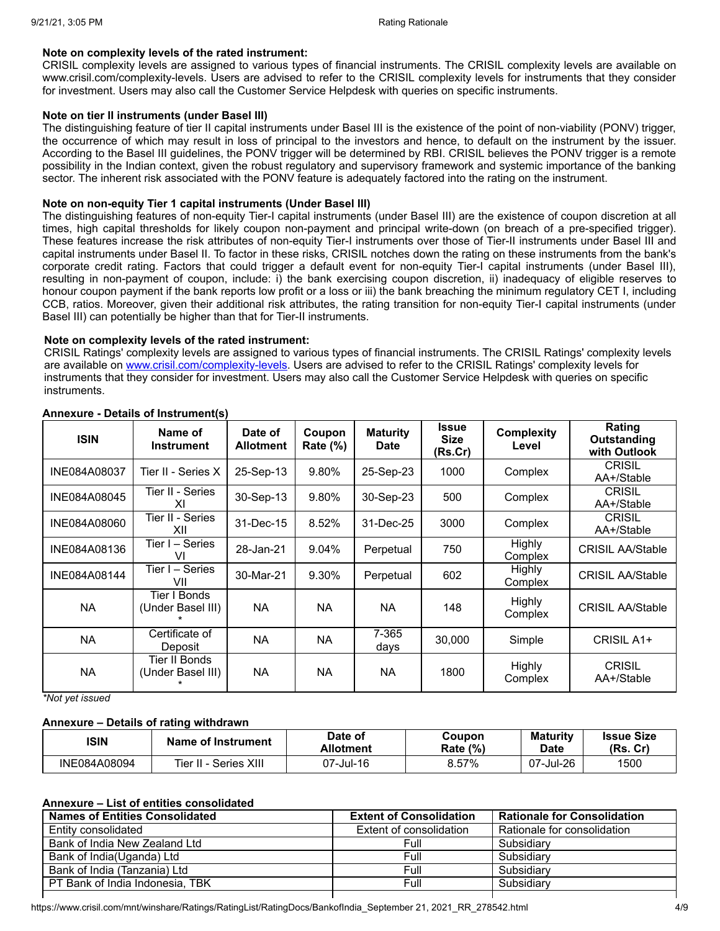#### **Note on complexity levels of the rated instrument:**

CRISIL complexity levels are assigned to various types of financial instruments. The CRISIL complexity levels are available on www.crisil.com/complexity-levels. Users are advised to refer to the CRISIL complexity levels for instruments that they consider for investment. Users may also call the Customer Service Helpdesk with queries on specific instruments.

## **Note on tier II instruments (under Basel III)**

The distinguishing feature of tier II capital instruments under Basel III is the existence of the point of non-viability (PONV) trigger, the occurrence of which may result in loss of principal to the investors and hence, to default on the instrument by the issuer. According to the Basel III guidelines, the PONV trigger will be determined by RBI. CRISIL believes the PONV trigger is a remote possibility in the Indian context, given the robust regulatory and supervisory framework and systemic importance of the banking sector. The inherent risk associated with the PONV feature is adequately factored into the rating on the instrument.

### **Note on non-equity Tier 1 capital instruments (Under Basel III)**

The distinguishing features of non-equity Tier-I capital instruments (under Basel III) are the existence of coupon discretion at all times, high capital thresholds for likely coupon non-payment and principal write-down (on breach of a pre-specified trigger). These features increase the risk attributes of non-equity Tier-I instruments over those of Tier-II instruments under Basel III and capital instruments under Basel II. To factor in these risks, CRISIL notches down the rating on these instruments from the bank's corporate credit rating. Factors that could trigger a default event for non-equity Tier-I capital instruments (under Basel III), resulting in non-payment of coupon, include: i) the bank exercising coupon discretion, ii) inadequacy of eligible reserves to honour coupon payment if the bank reports low profit or a loss or iii) the bank breaching the minimum regulatory CET I, including CCB, ratios. Moreover, given their additional risk attributes, the rating transition for non-equity Tier-I capital instruments (under Basel III) can potentially be higher than that for Tier-II instruments.

#### **Note on complexity levels of the rated instrument:**

CRISIL Ratings' complexity levels are assigned to various types of financial instruments. The CRISIL Ratings' complexity levels are available on [www.crisil.com/complexity-levels](http://www.crisil.com/complexity-levels). Users are advised to refer to the CRISIL Ratings' complexity levels for instruments that they consider for investment. Users may also call the Customer Service Helpdesk with queries on specific instruments.

| <b>ISIN</b>  | Name of<br><b>Instrument</b>       | Date of<br><b>Allotment</b> | Coupon<br><b>Rate (%)</b> | <b>Maturity</b><br><b>Date</b> | Issue<br><b>Size</b><br>(Rs.Cr) | <b>Complexity</b><br>Level | Rating<br>Outstanding<br>with Outlook |
|--------------|------------------------------------|-----------------------------|---------------------------|--------------------------------|---------------------------------|----------------------------|---------------------------------------|
| INE084A08037 | Tier II - Series X                 | 25-Sep-13                   | 9.80%                     | 25-Sep-23                      | 1000                            | Complex                    | <b>CRISIL</b><br>AA+/Stable           |
| INE084A08045 | Tier II - Series<br>ΧI             | 30-Sep-13                   | 9.80%                     | 30-Sep-23                      | 500                             | Complex                    | <b>CRISIL</b><br>AA+/Stable           |
| INE084A08060 | Tier II - Series<br>XII            | 31-Dec-15                   | 8.52%                     | 31-Dec-25                      | 3000                            | Complex                    | <b>CRISIL</b><br>AA+/Stable           |
| INE084A08136 | Tier I – Series<br>VI              | 28-Jan-21                   | 9.04%                     | Perpetual                      | 750                             | Highly<br>Complex          | <b>CRISIL AA/Stable</b>               |
| INE084A08144 | Tier I – Series<br>VII             | 30-Mar-21                   | 9.30%                     | Perpetual                      | 602                             | Highly<br>Complex          | <b>CRISIL AA/Stable</b>               |
| <b>NA</b>    | Tier I Bonds<br>(Under Basel III)  | <b>NA</b>                   | <b>NA</b>                 | <b>NA</b>                      | 148                             | Highly<br>Complex          | <b>CRISIL AA/Stable</b>               |
| <b>NA</b>    | Certificate of<br>Deposit          | <b>NA</b>                   | <b>NA</b>                 | 7-365<br>days                  | 30.000                          | Simple                     | CRISIL A1+                            |
| <b>NA</b>    | Tier II Bonds<br>(Under Basel III) | <b>NA</b>                   | NA.                       | <b>NA</b>                      | 1800                            | Highly<br>Complex          | <b>CRISIL</b><br>AA+/Stable           |

## **Annexure - Details of Instrument(s)**

*\*Not yet issued*

#### **Annexure – Details of rating withdrawn**

| ISIN         | <b>Name of Instrument</b> | Date of<br>Allotment | Coupon<br>Rate $(\%)$ | <b>Maturity</b><br>Date | <b>Issue Size</b><br>(Rs, Cr) |
|--------------|---------------------------|----------------------|-----------------------|-------------------------|-------------------------------|
| INE084A08094 | Tier II - Series XIII     | 07-Jul-16            | 8.57%                 | 07-Jul-26               | 1500                          |

#### **Annexure – List of entities consolidated**

| <b>Names of Entities Consolidated</b> | <b>Extent of Consolidation</b> | <b>Rationale for Consolidation</b> |
|---------------------------------------|--------------------------------|------------------------------------|
| Entity consolidated                   | Extent of consolidation        | Rationale for consolidation        |
| Bank of India New Zealand Ltd         | Full                           | Subsidiary                         |
| Bank of India(Uganda) Ltd             | Full                           | Subsidiary                         |
| Bank of India (Tanzania) Ltd          | Full                           | Subsidiary                         |
| PT Bank of India Indonesia, TBK       | Full                           | Subsidiary                         |

https://www.crisil.com/mnt/winshare/Ratings/RatingList/RatingDocs/BankofIndia\_September 21, 2021\_RR\_278542.html 4/9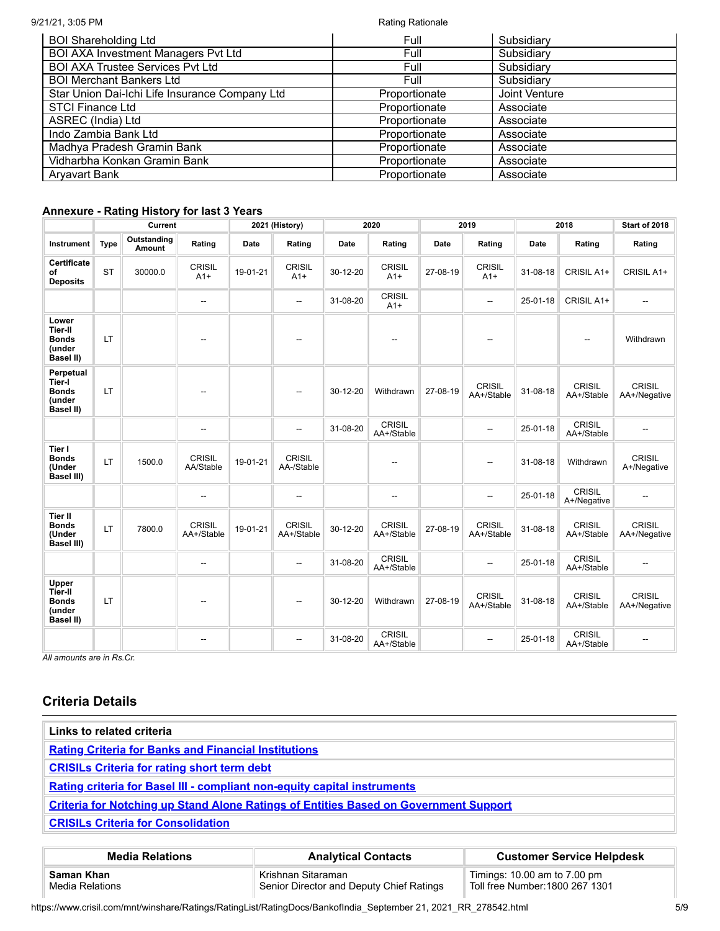| 9/21/21, 3:05 PM                     |             |                                                              |                        |          |                        |          | <b>Rating Rationale</b> |          |                        |                |            |               |  |
|--------------------------------------|-------------|--------------------------------------------------------------|------------------------|----------|------------------------|----------|-------------------------|----------|------------------------|----------------|------------|---------------|--|
| <b>BOI Shareholding Ltd</b>          |             |                                                              |                        |          |                        |          | Full                    |          |                        | Subsidiary     |            |               |  |
|                                      |             | <b>BOI AXA Investment Managers Pvt Ltd</b>                   |                        |          |                        |          | Full                    |          |                        | Subsidiary     |            |               |  |
|                                      |             | <b>BOI AXA Trustee Services Pyt Ltd</b>                      |                        |          |                        |          | Full                    |          |                        | Subsidiary     |            |               |  |
|                                      |             | <b>BOI Merchant Bankers Ltd</b>                              |                        |          |                        |          | Full                    |          |                        | Subsidiary     |            |               |  |
|                                      |             | Star Union Dai-Ichi Life Insurance Company Ltd               |                        |          |                        |          | Proportionate           |          |                        | Joint Venture  |            |               |  |
| <b>STCI Finance Ltd</b>              |             |                                                              |                        |          |                        |          | Proportionate           |          |                        | Associate      |            |               |  |
| ASREC (India) Ltd                    |             |                                                              |                        |          |                        |          | Proportionate           |          |                        | Associate      |            |               |  |
| Indo Zambia Bank Ltd                 |             |                                                              |                        |          |                        |          | Proportionate           |          | Associate              |                |            |               |  |
|                                      |             | Madhya Pradesh Gramin Bank                                   |                        |          |                        |          | Proportionate           |          |                        | Associate      |            |               |  |
|                                      |             | Vidharbha Konkan Gramin Bank                                 |                        |          |                        |          | Proportionate           |          |                        | Associate      |            |               |  |
| Aryavart Bank                        |             |                                                              |                        |          |                        |          | Proportionate           |          |                        | Associate      |            |               |  |
|                                      |             | <b>Annexure - Rating History for last 3 Years</b><br>Current |                        |          | 2021 (History)         |          | 2020                    |          | 2019                   |                | 2018       | Start of 2018 |  |
| <b>Instrument</b>                    | <b>Type</b> | Outstanding<br>Amount                                        | Rating                 | Date     | Rating                 | Date     | Rating                  | Date     | Rating                 | Date           | Rating     | Rating        |  |
|                                      |             |                                                              |                        |          |                        |          |                         |          |                        |                |            |               |  |
| Certificate<br>οf<br><b>Deposits</b> | <b>ST</b>   | 30000.0                                                      | <b>CRISIL</b><br>$A1+$ | 19-01-21 | <b>CRISIL</b><br>$A1+$ | 30-12-20 | <b>CRISIL</b><br>$A1+$  | 27-08-19 | <b>CRISIL</b><br>$A1+$ | $31 - 08 - 18$ | CRISIL A1+ | CRISIL A1+    |  |

## **Annexure - Rating History for last 3 Years**

| <b>Aryavart Bank</b><br><b>Type</b><br><b>ST</b> | Indo Zambia Bank Ltd<br>Madhya Pradesh Gramin Bank<br>Vidharbha Konkan Gramin Bank<br><b>Annexure - Rating History for last 3 Years</b><br>Current<br>Outstanding<br>Amount<br>30000.0 | Rating                      | Date     | 2021 (History)              |          | Proportionate<br>Proportionate<br>Proportionate<br>Proportionate |          |                             | Associate<br>Associate<br>Associate<br>Associate |                             |                               |
|--------------------------------------------------|----------------------------------------------------------------------------------------------------------------------------------------------------------------------------------------|-----------------------------|----------|-----------------------------|----------|------------------------------------------------------------------|----------|-----------------------------|--------------------------------------------------|-----------------------------|-------------------------------|
|                                                  |                                                                                                                                                                                        |                             |          |                             |          |                                                                  |          |                             |                                                  |                             |                               |
|                                                  |                                                                                                                                                                                        |                             |          |                             |          |                                                                  |          |                             |                                                  |                             |                               |
|                                                  |                                                                                                                                                                                        |                             |          |                             |          |                                                                  |          |                             |                                                  |                             |                               |
|                                                  |                                                                                                                                                                                        |                             |          |                             |          |                                                                  |          |                             |                                                  |                             |                               |
|                                                  |                                                                                                                                                                                        |                             |          |                             |          |                                                                  |          |                             |                                                  |                             |                               |
|                                                  |                                                                                                                                                                                        |                             |          |                             |          | 2020                                                             |          | 2019                        |                                                  | 2018                        | Start of 2018                 |
|                                                  |                                                                                                                                                                                        |                             |          | Rating                      | Date     | Rating                                                           | Date     | Rating                      | Date                                             | Rating                      | Rating                        |
|                                                  |                                                                                                                                                                                        | <b>CRISIL</b><br>$A1+$      | 19-01-21 | <b>CRISIL</b><br>$A1+$      | 30-12-20 | <b>CRISIL</b><br>$A1+$                                           | 27-08-19 | <b>CRISIL</b><br>$A1+$      | 31-08-18                                         | CRISIL A1+                  | CRISIL A1+                    |
|                                                  |                                                                                                                                                                                        | $\overline{\phantom{a}}$    |          | --                          | 31-08-20 | <b>CRISIL</b><br>$A1+$                                           |          | --                          | 25-01-18                                         | CRISIL A1+                  | $\overline{\phantom{a}}$      |
| LT                                               |                                                                                                                                                                                        | $\overline{\phantom{a}}$    |          | --                          |          | $\overline{\phantom{a}}$                                         |          | --                          |                                                  | $\overline{\phantom{a}}$    | Withdrawn                     |
| LT.                                              |                                                                                                                                                                                        | $\overline{\phantom{a}}$    |          | Ξ.                          | 30-12-20 | Withdrawn                                                        | 27-08-19 | <b>CRISIL</b><br>AA+/Stable | 31-08-18                                         | <b>CRISIL</b><br>AA+/Stable | <b>CRISIL</b><br>AA+/Negative |
|                                                  |                                                                                                                                                                                        | $\overline{\phantom{a}}$    |          | --                          | 31-08-20 | <b>CRISIL</b><br>AA+/Stable                                      |          | --                          | 25-01-18                                         | <b>CRISIL</b><br>AA+/Stable | $\overline{\phantom{a}}$      |
| LT                                               | 1500.0                                                                                                                                                                                 | <b>CRISIL</b><br>AA/Stable  | 19-01-21 | <b>CRISIL</b><br>AA-/Stable |          | $\overline{\phantom{a}}$                                         |          | --                          | 31-08-18                                         | Withdrawn                   | <b>CRISIL</b><br>A+/Negative  |
|                                                  |                                                                                                                                                                                        | $\overline{a}$              |          | $\overline{\phantom{a}}$    |          | $\overline{a}$                                                   |          | $\overline{\phantom{a}}$    | 25-01-18                                         | CRISIL<br>A+/Negative       | $\overline{\phantom{a}}$      |
| <b>LT</b>                                        | 7800.0                                                                                                                                                                                 | <b>CRISIL</b><br>AA+/Stable | 19-01-21 | <b>CRISIL</b><br>AA+/Stable | 30-12-20 | <b>CRISIL</b><br>AA+/Stable                                      | 27-08-19 | <b>CRISIL</b><br>AA+/Stable | 31-08-18                                         | <b>CRISIL</b><br>AA+/Stable | CRISIL<br>AA+/Negative        |
|                                                  |                                                                                                                                                                                        | $\overline{\phantom{a}}$    |          | Ξ.                          | 31-08-20 | <b>CRISIL</b><br>AA+/Stable                                      |          | $\overline{\phantom{a}}$    | 25-01-18                                         | <b>CRISIL</b><br>AA+/Stable | $\overline{\phantom{a}}$      |
| LT                                               |                                                                                                                                                                                        | $\overline{a}$              |          | --                          | 30-12-20 | Withdrawn                                                        | 27-08-19 | CRISIL<br>AA+/Stable        | 31-08-18                                         | <b>CRISIL</b><br>AA+/Stable | <b>CRISIL</b><br>AA+/Negative |
|                                                  |                                                                                                                                                                                        | $\overline{\phantom{a}}$    |          | --                          | 31-08-20 | CRISIL<br>AA+/Stable                                             |          | $\overline{\phantom{a}}$    | 25-01-18                                         | CRISIL<br>AA+/Stable        | $\overline{\phantom{a}}$      |
|                                                  |                                                                                                                                                                                        | All amounts are in Rs.Cr.   |          |                             |          |                                                                  |          |                             |                                                  |                             |                               |

# **Criteria Details**

| Links to related criteria                                                                   |
|---------------------------------------------------------------------------------------------|
| <b>Rating Criteria for Banks and Financial Institutions</b>                                 |
| <b>CRISILs Criteria for rating short term debt</b>                                          |
| <b>Rating criteria for Basel III - compliant non-equity capital instruments</b>             |
| <b>Criteria for Notching up Stand Alone Ratings of Entities Based on Government Support</b> |
| <b>CRISILs Criteria for Consolidation</b>                                                   |

| <b>Media Relations</b> | <b>Analytical Contacts</b>               | <b>Customer Service Helpdesk</b> |
|------------------------|------------------------------------------|----------------------------------|
| Saman Khan             | Krishnan Sitaraman                       | Timings: $10.00$ am to $7.00$ pm |
| Media Relations        | Senior Director and Deputy Chief Ratings | Toll free Number: 1800 267 1301  |

https://www.crisil.com/mnt/winshare/Ratings/RatingList/RatingDocs/BankofIndia\_September 21, 2021\_RR\_278542.html 5/9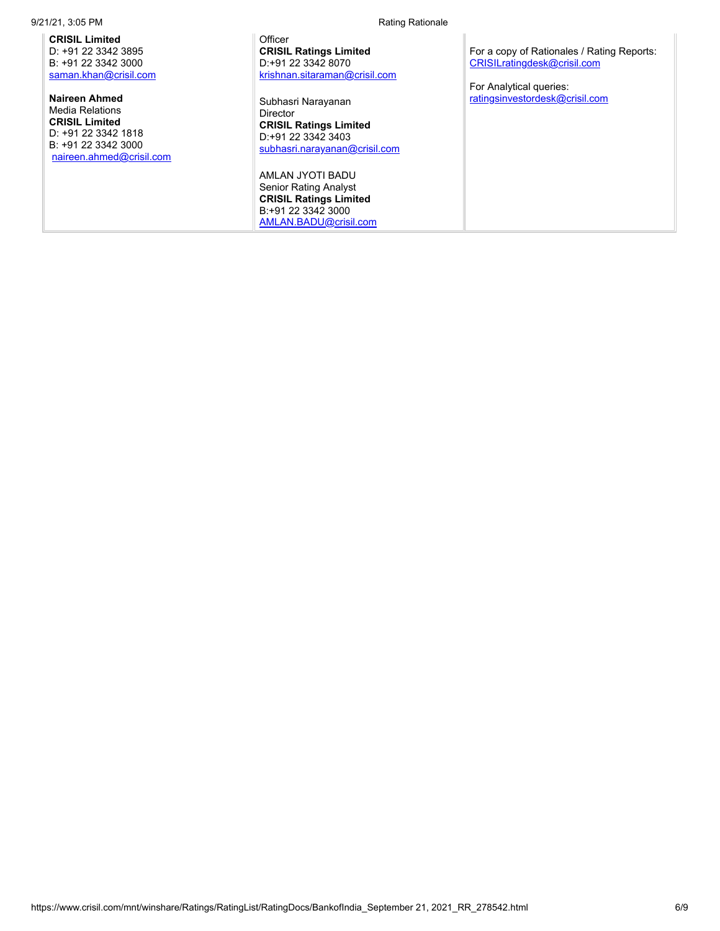9/21/21, 3:05 PM Rating Rationale

**CRISIL Limited** D: +91 22 3342 3895 B: +91 22 3342 3000 [saman.khan@crisil.com](mailto:saman.khan@crisil.com)

**Naireen Ahmed** Media Relations **CRISIL Limited** D: +91 22 3342 1818 B: +91 22 3342 3000 [naireen.ahmed@crisil.com](mailto:naireen.ahmed@crisil.com)

**Officer CRISIL Ratings Limited** D:+91 22 3342 8070 [krishnan.sitaraman@crisil.com](https://www.crisil.com/mnt/winshare/Ratings/RatingList/RatingDocs/krishnan.sitaraman@crisil.com)

Subhasri Narayanan Director **CRISIL Ratings Limited** D:+91 22 3342 3403 [subhasri.narayanan@crisil.com](https://www.crisil.com/mnt/winshare/Ratings/RatingList/RatingDocs/subhasri.narayanan@crisil.com)

AMLAN JYOTI BADU Senior Rating Analyst **CRISIL Ratings Limited** B:+91 22 3342 3000 [AMLAN.BADU@crisil.com](https://www.crisil.com/mnt/winshare/Ratings/RatingList/RatingDocs/AMLAN.BADU@crisil.com) For a copy of Rationales / Rating Reports: [CRISILratingdesk@crisil.com](mailto:CRISILratingdesk@crisil.com)

For Analytical queries: [ratingsinvestordesk@crisil.com](mailto:ratingsinvestordesk@crisil.com)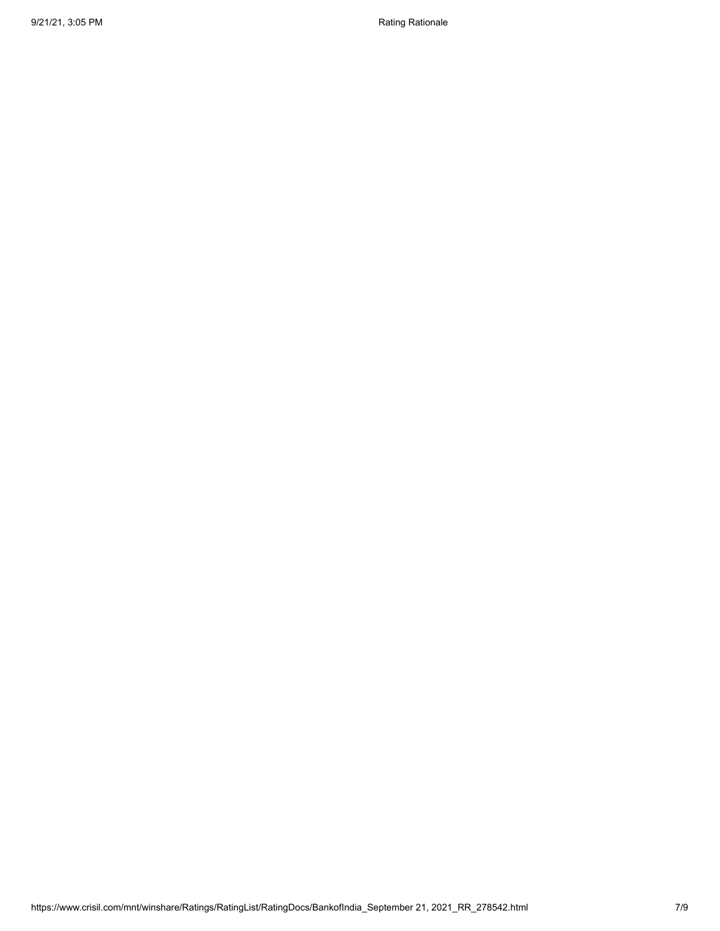9/21/21, 3:05 PM Rationale Rationale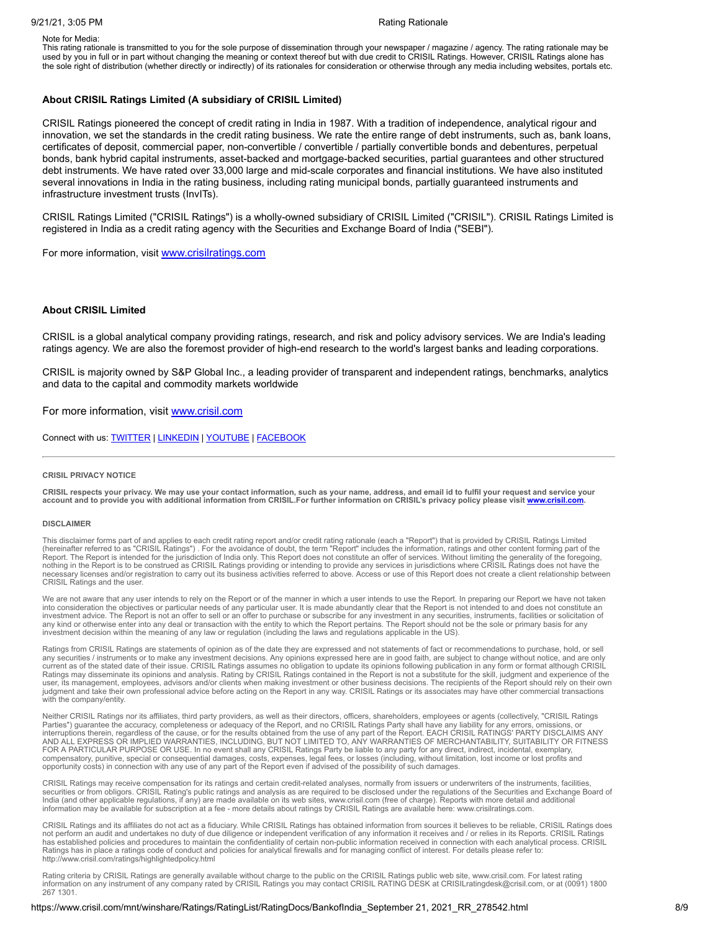#### 9/21/21, 3:05 PM Rationale Rationale Rationale Rationale Rationale Rationale Rationale

Note for Media:

This rating rationale is transmitted to you for the sole purpose of dissemination through your newspaper / magazine / agency. The rating rationale may be used by you in full or in part without changing the meaning or context thereof but with due credit to CRISIL Ratings. However, CRISIL Ratings alone has the sole right of distribution (whether directly or indirectly) of its rationales for consideration or otherwise through any media including websites, portals etc.

#### **About CRISIL Ratings Limited (A subsidiary of CRISIL Limited)**

CRISIL Ratings pioneered the concept of credit rating in India in 1987. With a tradition of independence, analytical rigour and innovation, we set the standards in the credit rating business. We rate the entire range of debt instruments, such as, bank loans, certificates of deposit, commercial paper, non-convertible / convertible / partially convertible bonds and debentures, perpetual bonds, bank hybrid capital instruments, asset-backed and mortgage-backed securities, partial guarantees and other structured debt instruments. We have rated over 33,000 large and mid-scale corporates and financial institutions. We have also instituted several innovations in India in the rating business, including rating municipal bonds, partially guaranteed instruments and infrastructure investment trusts (InvITs).

CRISIL Ratings Limited ("CRISIL Ratings") is a wholly-owned subsidiary of CRISIL Limited ("CRISIL"). CRISIL Ratings Limited is registered in India as a credit rating agency with the Securities and Exchange Board of India ("SEBI").

For more information, visit [www.crisilratings.com](http://www.crisilratings.com/)

#### **About CRISIL Limited**

CRISIL is a global analytical company providing ratings, research, and risk and policy advisory services. We are India's leading ratings agency. We are also the foremost provider of high-end research to the world's largest banks and leading corporations.

CRISIL is majority owned by S&P Global Inc., a leading provider of transparent and independent ratings, benchmarks, analytics and data to the capital and commodity markets worldwide

For more information, visit [www.crisil.com](http://www.crisil.com/)

Connect with us: [TWITTER](https://twitter.com/CRISILLimited) | [LINKEDIN](http://www.linkedin.com/company/crisil) | [YOUTUBE](https://www.youtube.com/user/CRISILLimited) | [FACEBOOK](https://www.facebook.com/CRISILLimited)

#### **CRISIL PRIVACY NOTICE**

CRISIL respects your privacy. We may use your contact information, such as your name, address, and email id to fulfil your request and service your<br>account and to provide you with additional information from CRISIL.For fur

#### **DISCLAIMER**

This disclaimer forms part of and applies to each credit rating report and/or credit rating rationale (each a "Report") that is provided by CRISIL Ratings Limited (hereinafter referred to as "CRISIL Ratings") . For the avoidance of doubt, the term "Report" includes the information, ratings and other content forming part of the Report. The Report is intended for the jurisdiction of India only. This Report does not constitute an offer of services. Without limiting the generality of the foregoing, nothing in the Report is to be construed as CRISIL Ratings providing or intending to provide any services in jurisdictions where CRISIL Ratings does not have the<br>necessary licenses and/or registration to carry out its bus CRISIL Ratings and the user.

We are not aware that any user intends to rely on the Report or of the manner in which a user intends to use the Report. In preparing our Report we have not taken into consideration the objectives or particular needs of any particular user. It is made abundantly clear that the Report is not intended to and does not constitute an investment advice. The Report is not an offer to sell or an offer to purchase or subscribe for any investment in any securities, instruments, facilities or solicitation of<br>any kind or otherwise enter into any deal or trans investment decision within the meaning of any law or regulation (including the laws and regulations applicable in the US).

Ratings from CRISIL Ratings are statements of opinion as of the date they are expressed and not statements of fact or recommendations to purchase, hold, or sell<br>any securities / instruments or to make any investment decis current as of the stated date of their issue. CRISIL Ratings assumes no obligation to update its opinions following publication in any form or format although CRISIL<br>Ratings may disseminate its opinions and analysis. Ratin with the company/entity.

Neither CRISIL Ratings nor its affiliates, third party providers, as well as their directors, officers, shareholders, employees or agents (collectively, "CRISIL Ratings<br>Parties") guarantee the accuracy, completeness or ade FOR A PARTICULAR PURPOSE OR USE. In no event shall any CRISIL Ratings Party be liable to any party for any direct, indirect, incidental, exemplary,<br>compensatory, punitive, special or consequential damages, costs, expenses,

CRISIL Ratings may receive compensation for its ratings and certain credit-related analyses, normally from issuers or underwriters of the instruments, facilities,<br>securities or from obligors. CRISIL Rating's public ratings information may be available for subscription at a fee - more details about ratings by CRISIL Ratings are available here: www.crisilratings.com.

CRISIL Ratings and its affiliates do not act as a fiduciary. While CRISIL Ratings has obtained information from sources it believes to be reliable, CRISIL Ratings does not perform an audit and undertakes no duty of due diligence or independent verification of any information it receives and / or relies in its Reports. CRISIL Ratings<br>has established policies and procedures to maintain the Ratings has in place a ratings code of conduct and policies for analytical firewalls and for managing conflict of interest. For details please refer to: http://www.crisil.com/ratings/highlightedpolicy.html

Rating criteria by CRISIL Ratings are generally available without charge to the public on the CRISIL Ratings public web site, www.crisil.com. For latest rating information on any instrument of any company rated by CRISIL Ratings you may contact CRISIL RATING DESK at CRISILratingdesk@crisil.com, or at (0091) 1800 267 1301.

#### https://www.crisil.com/mnt/winshare/Ratings/RatingList/RatingDocs/BankofIndia\_September 21, 2021\_RR\_278542.html 8/9